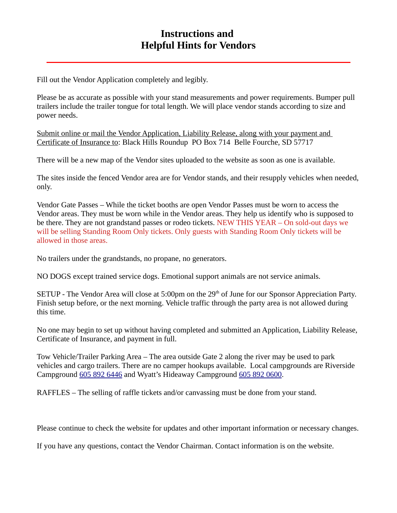## **Instructions and Helpful Hints for Vendors**

Fill out the Vendor Application completely and legibly.

Please be as accurate as possible with your stand measurements and power requirements. Bumper pull trailers include the trailer tongue for total length. We will place vendor stands according to size and power needs.

Submit online or mail the Vendor Application, Liability Release, along with your payment and Certificate of Insurance to: Black Hills Roundup PO Box 714 Belle Fourche, SD 57717

There will be a new map of the Vendor sites uploaded to the website as soon as one is available.

The sites inside the fenced Vendor area are for Vendor stands, and their resupply vehicles when needed, only.

Vendor Gate Passes – While the ticket booths are open Vendor Passes must be worn to access the Vendor areas. They must be worn while in the Vendor areas. They help us identify who is supposed to be there. They are not grandstand passes or rodeo tickets. NEW THIS YEAR – On sold-out days we will be selling Standing Room Only tickets. Only guests with Standing Room Only tickets will be allowed in those areas.

No trailers under the grandstands, no propane, no generators.

NO DOGS except trained service dogs. Emotional support animals are not service animals.

SETUP - The Vendor Area will close at 5:00pm on the 29<sup>th</sup> of June for our Sponsor Appreciation Party. Finish setup before, or the next morning. Vehicle traffic through the party area is not allowed during this time.

No one may begin to set up without having completed and submitted an Application, Liability Release, Certificate of Insurance, and payment in full.

Tow Vehicle/Trailer Parking Area – The area outside Gate 2 along the river may be used to park vehicles and cargo trailers. There are no camper hookups available. Local campgrounds are Riverside Campground [605 892 6446](tel:+16058926446) and Wyatt's Hideaway Campground [605 892 0600.](tel:+16058920600)

RAFFLES – The selling of raffle tickets and/or canvassing must be done from your stand.

Please continue to check the website for updates and other important information or necessary changes.

If you have any questions, contact the Vendor Chairman. Contact information is on the website.